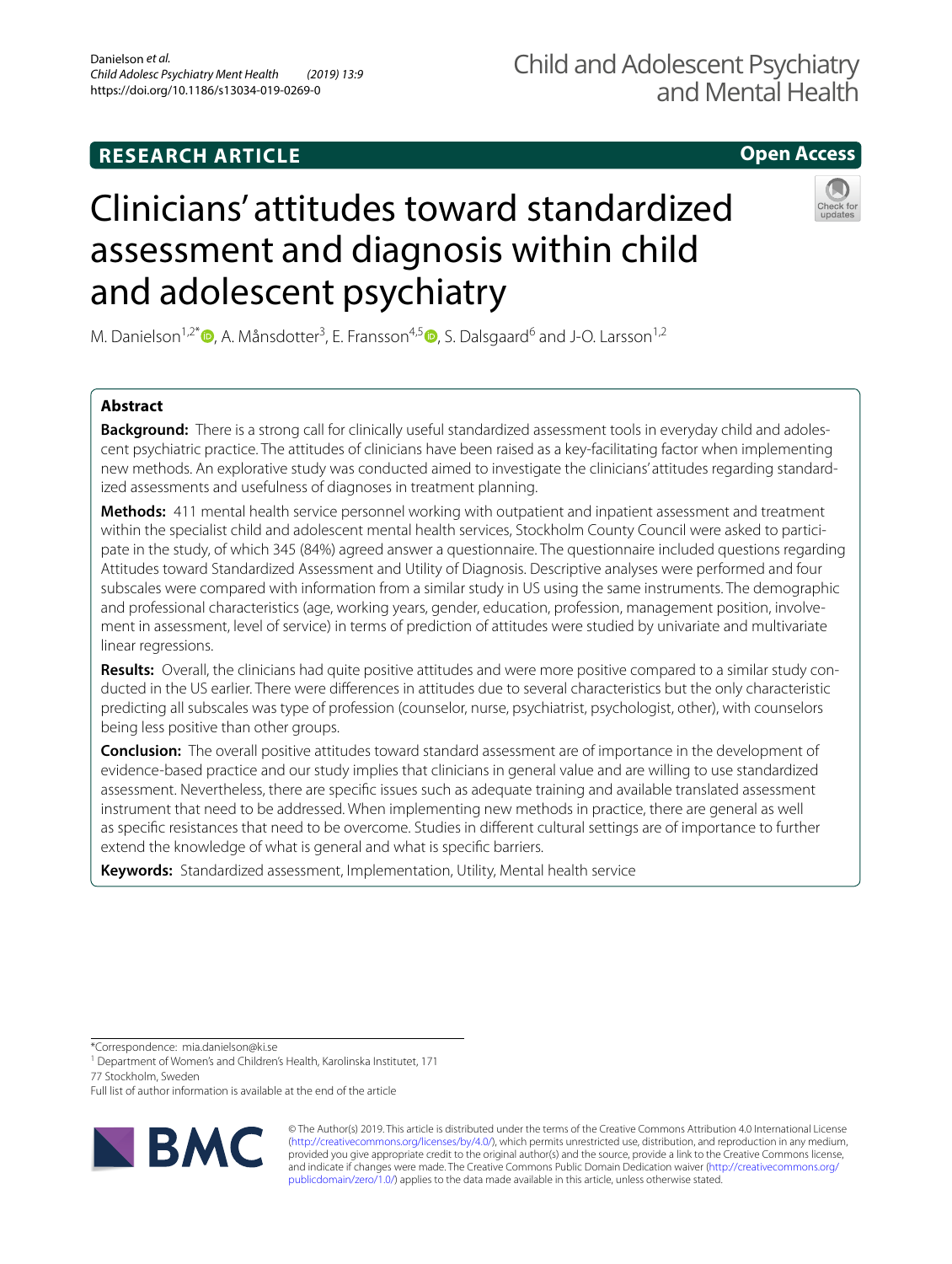## **RESEARCH ARTICLE**

# Child and Adolescent Psychiatry and Mental Health

## **Open Access**

# Clinicians' attitudes toward standardized assessment and diagnosis within child and adolescent psychiatry



M. Danielson<sup>1,2\*</sup>®[,](http://orcid.org/0000-0001-9010-8522) A. Månsdotter<sup>3</sup>, E. Fransson<sup>4,5</sup>®, S. Dalsgaard<sup>6</sup> and J-O. Larsson<sup>1,2</sup>

### **Abstract**

**Background:** There is a strong call for clinically useful standardized assessment tools in everyday child and adolescent psychiatric practice. The attitudes of clinicians have been raised as a key-facilitating factor when implementing new methods. An explorative study was conducted aimed to investigate the clinicians' attitudes regarding standardized assessments and usefulness of diagnoses in treatment planning.

**Methods:** 411 mental health service personnel working with outpatient and inpatient assessment and treatment within the specialist child and adolescent mental health services, Stockholm County Council were asked to participate in the study, of which 345 (84%) agreed answer a questionnaire. The questionnaire included questions regarding Attitudes toward Standardized Assessment and Utility of Diagnosis. Descriptive analyses were performed and four subscales were compared with information from a similar study in US using the same instruments. The demographic and professional characteristics (age, working years, gender, education, profession, management position, involvement in assessment, level of service) in terms of prediction of attitudes were studied by univariate and multivariate linear regressions.

Results: Overall, the clinicians had quite positive attitudes and were more positive compared to a similar study conducted in the US earlier. There were diferences in attitudes due to several characteristics but the only characteristic predicting all subscales was type of profession (counselor, nurse, psychiatrist, psychologist, other), with counselors being less positive than other groups.

**Conclusion:** The overall positive attitudes toward standard assessment are of importance in the development of evidence-based practice and our study implies that clinicians in general value and are willing to use standardized assessment. Nevertheless, there are specifc issues such as adequate training and available translated assessment instrument that need to be addressed. When implementing new methods in practice, there are general as well as specifc resistances that need to be overcome. Studies in diferent cultural settings are of importance to further extend the knowledge of what is general and what is specifc barriers.

**Keywords:** Standardized assessment, Implementation, Utility, Mental health service

\*Correspondence: mia.danielson@ki.se

77 Stockholm, Sweden

Full list of author information is available at the end of the article



© The Author(s) 2019. This article is distributed under the terms of the Creative Commons Attribution 4.0 International License [\(http://creativecommons.org/licenses/by/4.0/\)](http://creativecommons.org/licenses/by/4.0/), which permits unrestricted use, distribution, and reproduction in any medium, provided you give appropriate credit to the original author(s) and the source, provide a link to the Creative Commons license, and indicate if changes were made. The Creative Commons Public Domain Dedication waiver ([http://creativecommons.org/](http://creativecommons.org/publicdomain/zero/1.0/) [publicdomain/zero/1.0/](http://creativecommons.org/publicdomain/zero/1.0/)) applies to the data made available in this article, unless otherwise stated.

<sup>&</sup>lt;sup>1</sup> Department of Women's and Children's Health, Karolinska Institutet, 171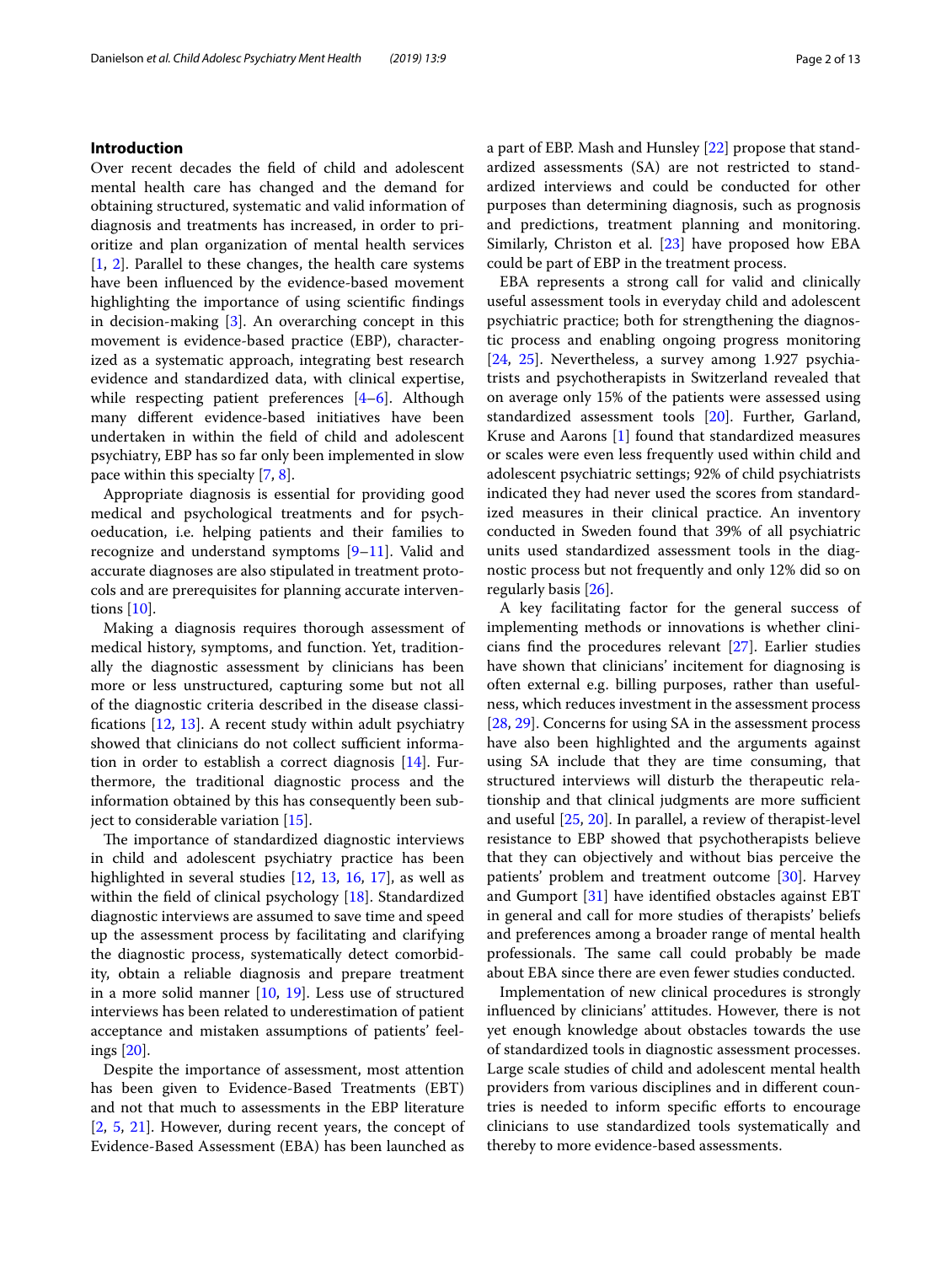#### **Introduction**

Over recent decades the feld of child and adolescent mental health care has changed and the demand for obtaining structured, systematic and valid information of diagnosis and treatments has increased, in order to prioritize and plan organization of mental health services [[1,](#page-11-0) [2](#page-11-1)]. Parallel to these changes, the health care systems have been infuenced by the evidence-based movement highlighting the importance of using scientifc fndings in decision-making [[3\]](#page-11-2). An overarching concept in this movement is evidence-based practice (EBP), characterized as a systematic approach, integrating best research evidence and standardized data, with clinical expertise, while respecting patient preferences [[4](#page-11-3)[–6](#page-11-4)]. Although many diferent evidence-based initiatives have been undertaken in within the feld of child and adolescent psychiatry, EBP has so far only been implemented in slow pace within this specialty [[7,](#page-11-5) [8](#page-11-6)].

Appropriate diagnosis is essential for providing good medical and psychological treatments and for psychoeducation, i.e. helping patients and their families to recognize and understand symptoms [[9–](#page-11-7)[11\]](#page-11-8). Valid and accurate diagnoses are also stipulated in treatment protocols and are prerequisites for planning accurate interventions [\[10](#page-11-9)].

Making a diagnosis requires thorough assessment of medical history, symptoms, and function. Yet, traditionally the diagnostic assessment by clinicians has been more or less unstructured, capturing some but not all of the diagnostic criteria described in the disease classifications  $[12, 13]$  $[12, 13]$  $[12, 13]$  $[12, 13]$  $[12, 13]$ . A recent study within adult psychiatry showed that clinicians do not collect sufficient information in order to establish a correct diagnosis [\[14\]](#page-11-12). Furthermore, the traditional diagnostic process and the information obtained by this has consequently been subject to considerable variation [\[15](#page-11-13)].

The importance of standardized diagnostic interviews in child and adolescent psychiatry practice has been highlighted in several studies [\[12,](#page-11-10) [13](#page-11-11), [16](#page-11-14), [17\]](#page-11-15), as well as within the field of clinical psychology [\[18](#page-11-16)]. Standardized diagnostic interviews are assumed to save time and speed up the assessment process by facilitating and clarifying the diagnostic process, systematically detect comorbidity, obtain a reliable diagnosis and prepare treatment in a more solid manner [\[10,](#page-11-9) [19\]](#page-11-17). Less use of structured interviews has been related to underestimation of patient acceptance and mistaken assumptions of patients' feelings [[20\]](#page-11-18).

Despite the importance of assessment, most attention has been given to Evidence-Based Treatments (EBT) and not that much to assessments in the EBP literature [[2,](#page-11-1) [5,](#page-11-19) [21](#page-11-20)]. However, during recent years, the concept of Evidence-Based Assessment (EBA) has been launched as a part of EBP. Mash and Hunsley [\[22](#page-11-21)] propose that standardized assessments (SA) are not restricted to standardized interviews and could be conducted for other purposes than determining diagnosis, such as prognosis and predictions, treatment planning and monitoring. Similarly, Christon et al. [[23\]](#page-11-22) have proposed how EBA could be part of EBP in the treatment process.

EBA represents a strong call for valid and clinically useful assessment tools in everyday child and adolescent psychiatric practice; both for strengthening the diagnostic process and enabling ongoing progress monitoring [[24,](#page-11-23) [25\]](#page-11-24). Nevertheless, a survey among 1.927 psychiatrists and psychotherapists in Switzerland revealed that on average only 15% of the patients were assessed using standardized assessment tools [[20\]](#page-11-18). Further, Garland, Kruse and Aarons [\[1](#page-11-0)] found that standardized measures or scales were even less frequently used within child and adolescent psychiatric settings; 92% of child psychiatrists indicated they had never used the scores from standardized measures in their clinical practice. An inventory conducted in Sweden found that 39% of all psychiatric units used standardized assessment tools in the diagnostic process but not frequently and only 12% did so on regularly basis [[26\]](#page-11-25).

A key facilitating factor for the general success of implementing methods or innovations is whether clinicians fnd the procedures relevant [[27\]](#page-11-26). Earlier studies have shown that clinicians' incitement for diagnosing is often external e.g. billing purposes, rather than usefulness, which reduces investment in the assessment process [[28,](#page-12-0) [29](#page-12-1)]. Concerns for using SA in the assessment process have also been highlighted and the arguments against using SA include that they are time consuming, that structured interviews will disturb the therapeutic relationship and that clinical judgments are more sufficient and useful [\[25](#page-11-24), [20\]](#page-11-18). In parallel, a review of therapist-level resistance to EBP showed that psychotherapists believe that they can objectively and without bias perceive the patients' problem and treatment outcome [\[30](#page-12-2)]. Harvey and Gumport [[31\]](#page-12-3) have identifed obstacles against EBT in general and call for more studies of therapists' beliefs and preferences among a broader range of mental health professionals. The same call could probably be made about EBA since there are even fewer studies conducted.

Implementation of new clinical procedures is strongly infuenced by clinicians' attitudes. However, there is not yet enough knowledge about obstacles towards the use of standardized tools in diagnostic assessment processes. Large scale studies of child and adolescent mental health providers from various disciplines and in diferent countries is needed to inform specific efforts to encourage clinicians to use standardized tools systematically and thereby to more evidence-based assessments.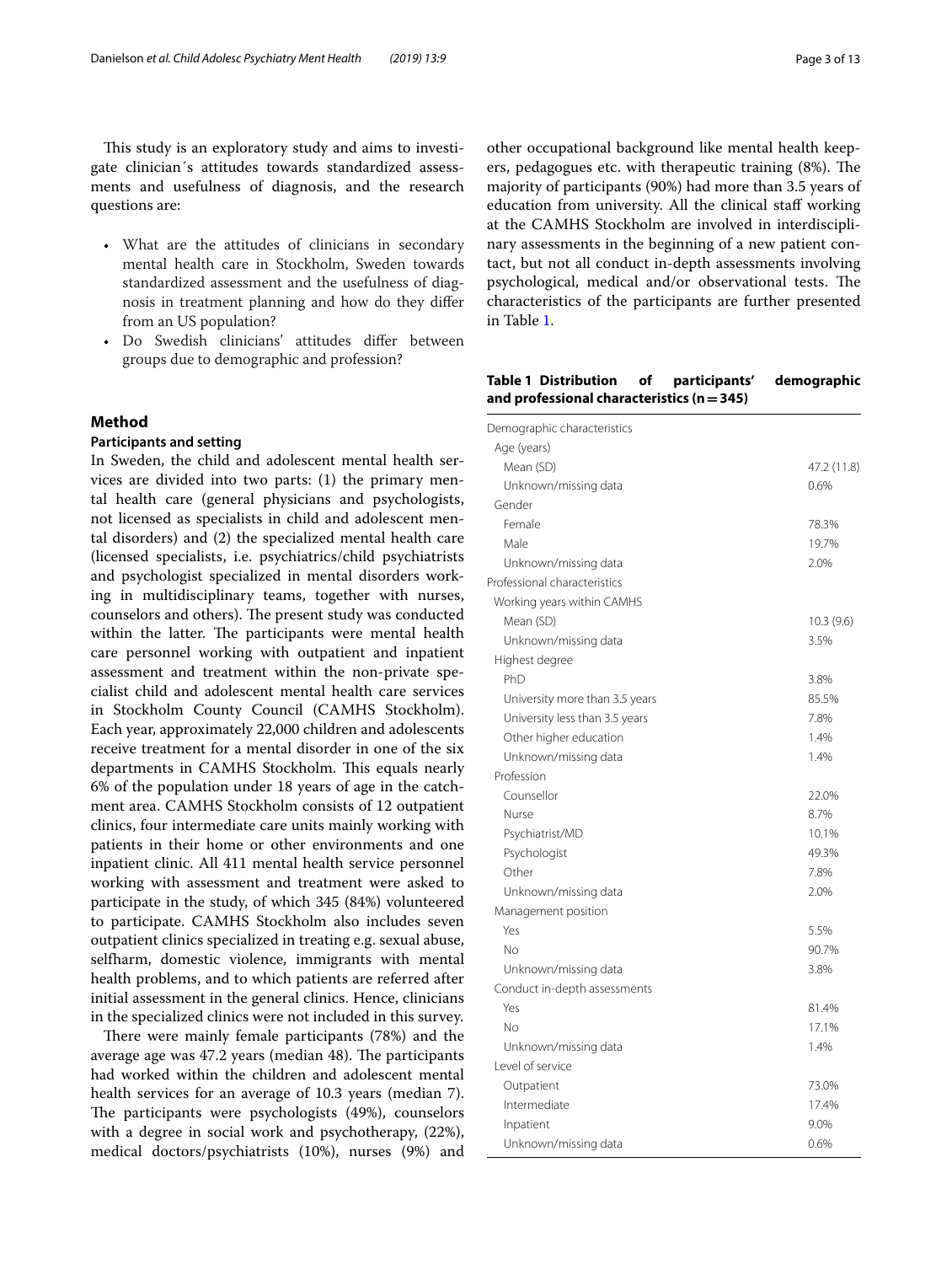This study is an exploratory study and aims to investigate clinician´s attitudes towards standardized assessments and usefulness of diagnosis, and the research questions are:

- What are the attitudes of clinicians in secondary mental health care in Stockholm, Sweden towards standardized assessment and the usefulness of diagnosis in treatment planning and how do they difer from an US population?
- Do Swedish clinicians' attitudes difer between groups due to demographic and profession?

#### **Method**

#### **Participants and setting**

In Sweden, the child and adolescent mental health services are divided into two parts: (1) the primary mental health care (general physicians and psychologists, not licensed as specialists in child and adolescent mental disorders) and (2) the specialized mental health care (licensed specialists, i.e. psychiatrics/child psychiatrists and psychologist specialized in mental disorders working in multidisciplinary teams, together with nurses, counselors and others). The present study was conducted within the latter. The participants were mental health care personnel working with outpatient and inpatient assessment and treatment within the non-private specialist child and adolescent mental health care services in Stockholm County Council (CAMHS Stockholm). Each year, approximately 22,000 children and adolescents receive treatment for a mental disorder in one of the six departments in CAMHS Stockholm. This equals nearly 6% of the population under 18 years of age in the catchment area. CAMHS Stockholm consists of 12 outpatient clinics, four intermediate care units mainly working with patients in their home or other environments and one inpatient clinic. All 411 mental health service personnel working with assessment and treatment were asked to participate in the study, of which 345 (84%) volunteered to participate. CAMHS Stockholm also includes seven outpatient clinics specialized in treating e.g. sexual abuse, selfharm, domestic violence, immigrants with mental health problems, and to which patients are referred after initial assessment in the general clinics. Hence, clinicians in the specialized clinics were not included in this survey.

There were mainly female participants (78%) and the average age was 47.2 years (median 48). The participants had worked within the children and adolescent mental health services for an average of 10.3 years (median 7). The participants were psychologists (49%), counselors with a degree in social work and psychotherapy, (22%), medical doctors/psychiatrists (10%), nurses (9%) and other occupational background like mental health keepers, pedagogues etc. with therapeutic training  $(8\%)$ . The majority of participants (90%) had more than 3.5 years of education from university. All the clinical staff working at the CAMHS Stockholm are involved in interdisciplinary assessments in the beginning of a new patient contact, but not all conduct in-depth assessments involving psychological, medical and/or observational tests. The characteristics of the participants are further presented in Table [1.](#page-2-0)

#### <span id="page-2-0"></span>**Table 1 Distribution of participants' demographic and professional characteristics (n=345)**

| Demographic characteristics    |             |
|--------------------------------|-------------|
| Age (years)                    |             |
| Mean (SD)                      | 47.2 (11.8) |
| Unknown/missing data           | 0.6%        |
| Gender                         |             |
| Female                         | 78.3%       |
| Male                           | 19.7%       |
| Unknown/missing data           | 2.0%        |
| Professional characteristics   |             |
| Working years within CAMHS     |             |
| Mean (SD)                      | 10.3(9.6)   |
| Unknown/missing data           | 3.5%        |
| Highest degree                 |             |
| PhD                            | 3.8%        |
| University more than 3.5 years | 85.5%       |
| University less than 3.5 years | 7.8%        |
| Other higher education         | 1.4%        |
| Unknown/missing data           | 1.4%        |
| Profession                     |             |
| Counsellor                     | 22.0%       |
| Nurse                          | 8.7%        |
| Psychiatrist/MD                | 10.1%       |
| Psychologist                   | 49.3%       |
| Other                          | 7.8%        |
| Unknown/missing data           | 2.0%        |
| Management position            |             |
| Yes                            | 5.5%        |
| N <sub>o</sub>                 | 90.7%       |
| Unknown/missing data           | 3.8%        |
| Conduct in-depth assessments   |             |
| Yes                            | 81.4%       |
| <b>No</b>                      | 17.1%       |
| Unknown/missing data           | 1.4%        |
| I evel of service              |             |
| Outpatient                     | 73.0%       |
| Intermediate                   | 17.4%       |
| Inpatient                      | 9.0%        |
| Unknown/missing data           | 0.6%        |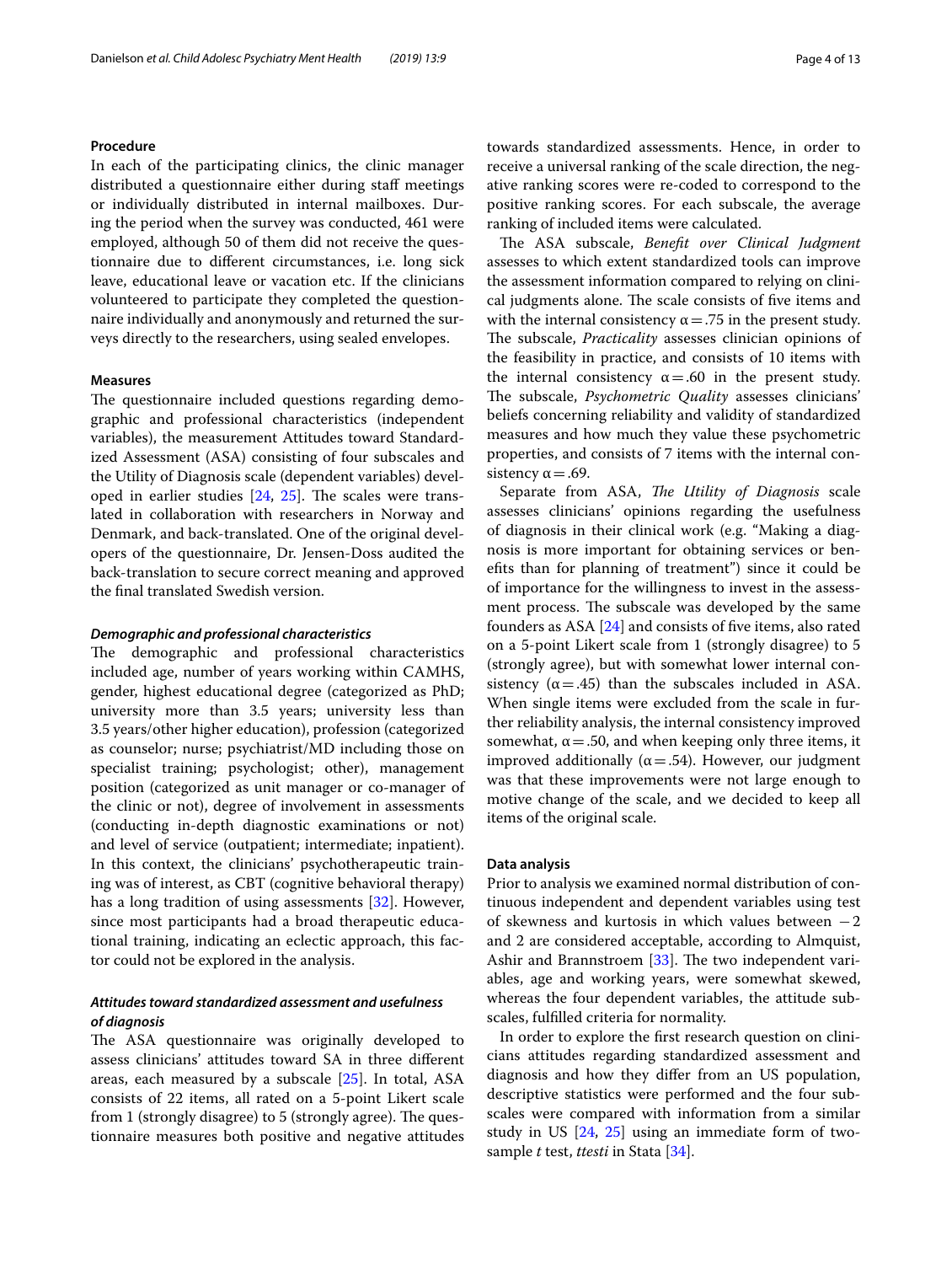#### **Procedure**

In each of the participating clinics, the clinic manager distributed a questionnaire either during staf meetings or individually distributed in internal mailboxes. During the period when the survey was conducted, 461 were employed, although 50 of them did not receive the questionnaire due to diferent circumstances, i.e. long sick leave, educational leave or vacation etc. If the clinicians volunteered to participate they completed the questionnaire individually and anonymously and returned the surveys directly to the researchers, using sealed envelopes.

#### **Measures**

The questionnaire included questions regarding demographic and professional characteristics (independent variables), the measurement Attitudes toward Standardized Assessment (ASA) consisting of four subscales and the Utility of Diagnosis scale (dependent variables) developed in earlier studies  $[24, 25]$  $[24, 25]$  $[24, 25]$ . The scales were translated in collaboration with researchers in Norway and Denmark, and back-translated. One of the original developers of the questionnaire, Dr. Jensen-Doss audited the back-translation to secure correct meaning and approved the fnal translated Swedish version.

#### *Demographic and professional characteristics*

The demographic and professional characteristics included age, number of years working within CAMHS, gender, highest educational degree (categorized as PhD; university more than 3.5 years; university less than 3.5 years/other higher education), profession (categorized as counselor; nurse; psychiatrist/MD including those on specialist training; psychologist; other), management position (categorized as unit manager or co-manager of the clinic or not), degree of involvement in assessments (conducting in-depth diagnostic examinations or not) and level of service (outpatient; intermediate; inpatient). In this context, the clinicians' psychotherapeutic training was of interest, as CBT (cognitive behavioral therapy) has a long tradition of using assessments [[32](#page-12-4)]. However, since most participants had a broad therapeutic educational training, indicating an eclectic approach, this factor could not be explored in the analysis.

#### *Attitudes toward standardized assessment and usefulness of diagnosis*

The ASA questionnaire was originally developed to assess clinicians' attitudes toward SA in three diferent areas, each measured by a subscale [[25](#page-11-24)]. In total, ASA consists of 22 items, all rated on a 5-point Likert scale from 1 (strongly disagree) to  $5$  (strongly agree). The questionnaire measures both positive and negative attitudes towards standardized assessments. Hence, in order to receive a universal ranking of the scale direction, the negative ranking scores were re-coded to correspond to the positive ranking scores. For each subscale, the average ranking of included items were calculated.

The ASA subscale, *Benefit over Clinical Judgment* assesses to which extent standardized tools can improve the assessment information compared to relying on clinical judgments alone. The scale consists of five items and with the internal consistency  $\alpha = .75$  in the present study. The subscale, *Practicality* assesses clinician opinions of the feasibility in practice, and consists of 10 items with the internal consistency  $\alpha = .60$  in the present study. The subscale, *Psychometric Quality* assesses clinicians' beliefs concerning reliability and validity of standardized measures and how much they value these psychometric properties, and consists of 7 items with the internal consistency  $\alpha = .69$ .

Separate from ASA, *The Utility of Diagnosis* scale assesses clinicians' opinions regarding the usefulness of diagnosis in their clinical work (e.g. "Making a diagnosis is more important for obtaining services or benefts than for planning of treatment") since it could be of importance for the willingness to invest in the assessment process. The subscale was developed by the same founders as ASA  $[24]$  and consists of five items, also rated on a 5-point Likert scale from 1 (strongly disagree) to 5 (strongly agree), but with somewhat lower internal consistency ( $\alpha = .45$ ) than the subscales included in ASA. When single items were excluded from the scale in further reliability analysis, the internal consistency improved somewhat,  $\alpha = .50$ , and when keeping only three items, it improved additionally ( $\alpha = .54$ ). However, our judgment was that these improvements were not large enough to motive change of the scale, and we decided to keep all items of the original scale.

#### **Data analysis**

Prior to analysis we examined normal distribution of continuous independent and dependent variables using test of skewness and kurtosis in which values between −2 and 2 are considered acceptable, according to Almquist, Ashir and Brannstroem  $[33]$ . The two independent variables, age and working years, were somewhat skewed, whereas the four dependent variables, the attitude subscales, fulflled criteria for normality.

In order to explore the frst research question on clinicians attitudes regarding standardized assessment and diagnosis and how they difer from an US population, descriptive statistics were performed and the four subscales were compared with information from a similar study in US [\[24](#page-11-23), [25](#page-11-24)] using an immediate form of twosample *t* test, *ttesti* in Stata [\[34](#page-12-6)].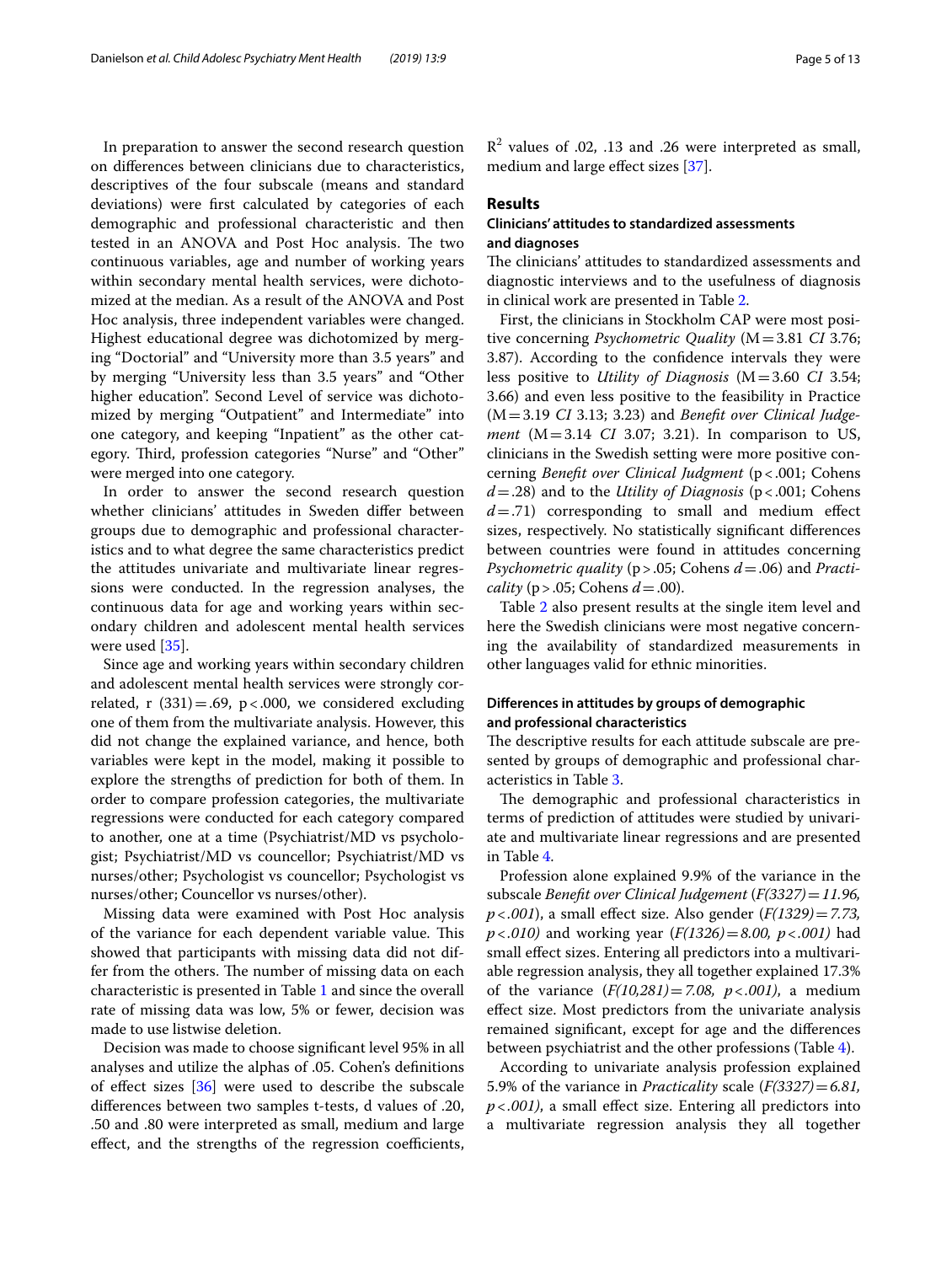In preparation to answer the second research question on diferences between clinicians due to characteristics, descriptives of the four subscale (means and standard deviations) were frst calculated by categories of each demographic and professional characteristic and then tested in an ANOVA and Post Hoc analysis. The two continuous variables, age and number of working years within secondary mental health services, were dichotomized at the median. As a result of the ANOVA and Post Hoc analysis, three independent variables were changed. Highest educational degree was dichotomized by merging "Doctorial" and "University more than 3.5 years" and by merging "University less than 3.5 years" and "Other higher education". Second Level of service was dichotomized by merging "Outpatient" and Intermediate" into one category, and keeping "Inpatient" as the other category. Third, profession categories "Nurse" and "Other" were merged into one category.

In order to answer the second research question whether clinicians' attitudes in Sweden differ between groups due to demographic and professional characteristics and to what degree the same characteristics predict the attitudes univariate and multivariate linear regressions were conducted. In the regression analyses, the continuous data for age and working years within secondary children and adolescent mental health services were used [\[35\]](#page-12-7).

Since age and working years within secondary children and adolescent mental health services were strongly correlated, r  $(331) = .69$ , p < 000, we considered excluding one of them from the multivariate analysis. However, this did not change the explained variance, and hence, both variables were kept in the model, making it possible to explore the strengths of prediction for both of them. In order to compare profession categories, the multivariate regressions were conducted for each category compared to another, one at a time (Psychiatrist/MD vs psychologist; Psychiatrist/MD vs councellor; Psychiatrist/MD vs nurses/other; Psychologist vs councellor; Psychologist vs nurses/other; Councellor vs nurses/other).

Missing data were examined with Post Hoc analysis of the variance for each dependent variable value. This showed that participants with missing data did not differ from the others. The number of missing data on each characteristic is presented in Table [1](#page-2-0) and since the overall rate of missing data was low, 5% or fewer, decision was made to use listwise deletion.

Decision was made to choose signifcant level 95% in all analyses and utilize the alphas of .05. Cohen's defnitions of efect sizes [[36\]](#page-12-8) were used to describe the subscale diferences between two samples t-tests, d values of .20, .50 and .80 were interpreted as small, medium and large effect, and the strengths of the regression coefficients,

 $R<sup>2</sup>$  values of .02, .13 and .26 were interpreted as small, medium and large efect sizes [\[37](#page-12-9)].

#### **Results**

#### **Clinicians' attitudes to standardized assessments and diagnoses**

The clinicians' attitudes to standardized assessments and diagnostic interviews and to the usefulness of diagnosis in clinical work are presented in Table [2.](#page-5-0)

First, the clinicians in Stockholm CAP were most positive concerning *Psychometric Quality* (M=3.81 *CI* 3.76; 3.87). According to the confdence intervals they were less positive to *Utility of Diagnosis* (M=3.60 *CI* 3.54; 3.66) and even less positive to the feasibility in Practice (M=3.19 *CI* 3.13; 3.23) and *Beneft over Clinical Judgement* (M=3.14 *CI* 3.07; 3.21). In comparison to US, clinicians in the Swedish setting were more positive concerning *Beneft over Clinical Judgment* (p<.001; Cohens *d*=.28) and to the *Utility of Diagnosis* (p<.001; Cohens  $d = .71$ ) corresponding to small and medium effect sizes, respectively. No statistically signifcant diferences between countries were found in attitudes concerning *Psychometric quality* (p > .05; Cohens *d* = .06) and *Practicality* ( $p > .05$ ; Cohens  $d = .00$ ).

Table [2](#page-5-0) also present results at the single item level and here the Swedish clinicians were most negative concerning the availability of standardized measurements in other languages valid for ethnic minorities.

#### **Diferences in attitudes by groups of demographic and professional characteristics**

The descriptive results for each attitude subscale are presented by groups of demographic and professional characteristics in Table [3.](#page-7-0)

The demographic and professional characteristics in terms of prediction of attitudes were studied by univariate and multivariate linear regressions and are presented in Table [4.](#page-8-0)

Profession alone explained 9.9% of the variance in the subscale *Beneft over Clinical Judgement* (*F(3327)*=*11.96, p*<*.001*), a small efect size. Also gender (*F(1329)*=*7.73, p*<*.010)* and working year (*F(1326)*=*8.00, p*<*.001)* had small efect sizes. Entering all predictors into a multivariable regression analysis, they all together explained 17.3% of the variance (*F(10,281)*=*7.08, p*<*.001)*, a medium efect size. Most predictors from the univariate analysis remained signifcant, except for age and the diferences between psychiatrist and the other professions (Table [4\)](#page-8-0).

According to univariate analysis profession explained 5.9% of the variance in *Practicality* scale (*F(3327)*=*6.81, p*<*.001)*, a small efect size. Entering all predictors into a multivariate regression analysis they all together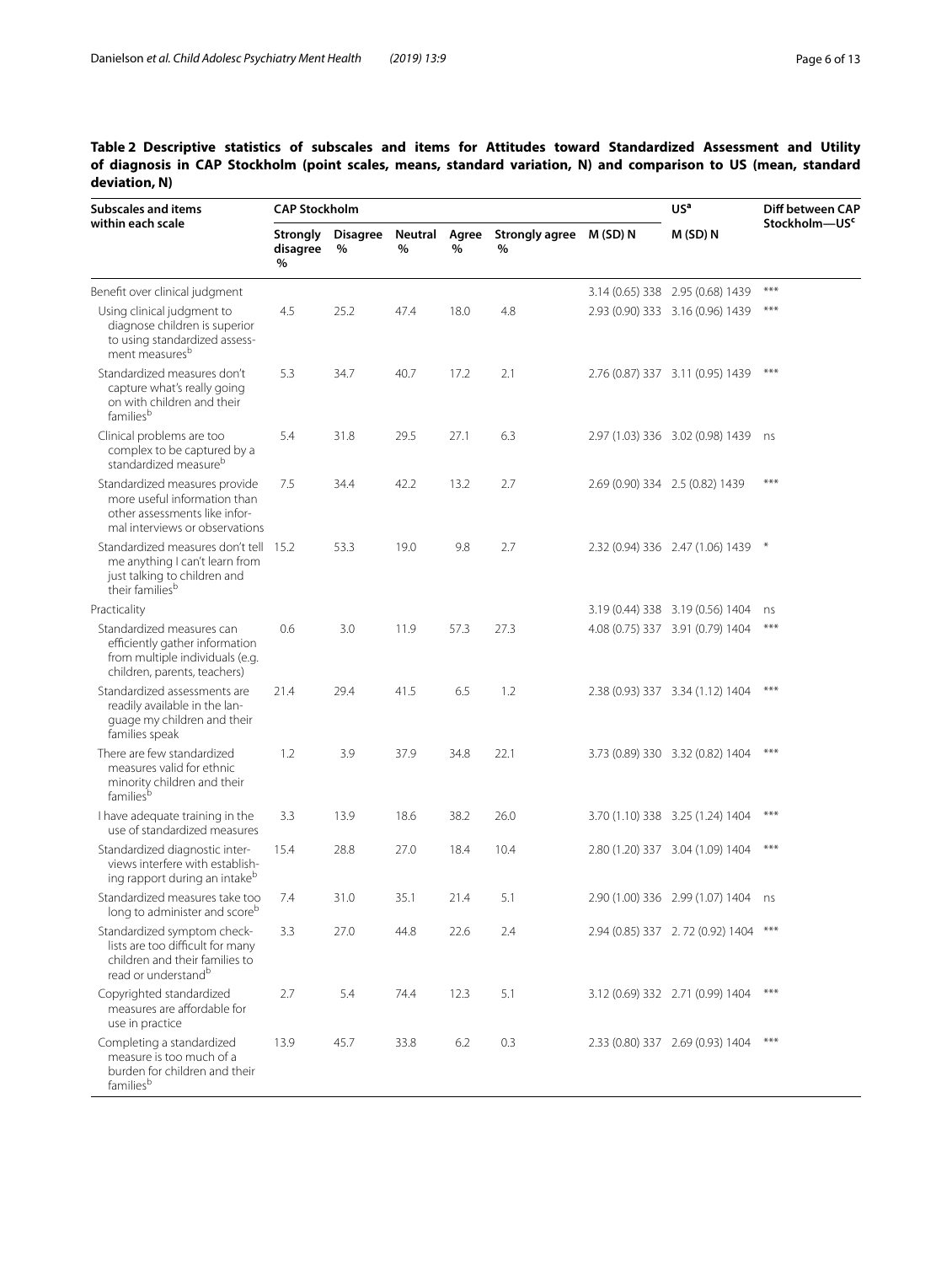<span id="page-5-0"></span>**Table 2 Descriptive statistics of subscales and items for Attitudes toward Standardized Assessment and Utility of diagnosis in CAP Stockholm (point scales, means, standard variation, N) and comparison to US (mean, standard deviation, N)**

| <b>Subscales and items</b>                                                                                                           | <b>CAP Stockholm</b>             |                         |              |            |                     |          | US <sup>a</sup>                      | Diff between CAP          |
|--------------------------------------------------------------------------------------------------------------------------------------|----------------------------------|-------------------------|--------------|------------|---------------------|----------|--------------------------------------|---------------------------|
| within each scale                                                                                                                    | <b>Strongly</b><br>disagree<br>% | <b>Disagree</b><br>$\%$ | Neutral<br>% | Agree<br>% | Strongly agree<br>% | M (SD) N | M (SD) N                             | Stockholm-US <sup>c</sup> |
| Benefit over clinical judgment                                                                                                       |                                  |                         |              |            |                     |          | 3.14 (0.65) 338 2.95 (0.68) 1439     | $***$                     |
| Using clinical judgment to<br>diagnose children is superior<br>to using standardized assess-<br>ment measures <sup>b</sup>           | 4.5                              | 25.2                    | 47.4         | 18.0       | 4.8                 |          | 2.93 (0.90) 333 3.16 (0.96) 1439     | $***$                     |
| Standardized measures don't<br>capture what's really going<br>on with children and their<br>familiesb                                | 5.3                              | 34.7                    | 40.7         | 17.2       | 2.1                 |          | 2.76 (0.87) 337 3.11 (0.95) 1439     | $***$                     |
| Clinical problems are too<br>complex to be captured by a<br>standardized measureb                                                    | 5.4                              | 31.8                    | 29.5         | 27.1       | 6.3                 |          | 2.97 (1.03) 336 3.02 (0.98) 1439     | ns                        |
| Standardized measures provide<br>more useful information than<br>other assessments like infor-<br>mal interviews or observations     | 7.5                              | 34.4                    | 42.2         | 13.2       | 2.7                 |          | 2.69 (0.90) 334 2.5 (0.82) 1439      | $***$                     |
| Standardized measures don't tell<br>me anything I can't learn from<br>just talking to children and<br>their families <sup>b</sup>    | 15.2                             | 53.3                    | 19.0         | 9.8        | 2.7                 |          | 2.32 (0.94) 336 2.47 (1.06) 1439     | $\ast$                    |
| Practicality                                                                                                                         |                                  |                         |              |            |                     |          | 3.19 (0.44) 338 3.19 (0.56) 1404     | ns                        |
| Standardized measures can<br>efficiently gather information<br>from multiple individuals (e.g.<br>children, parents, teachers)       | 0.6                              | 3.0                     | 11.9         | 57.3       | 27.3                |          | 4.08 (0.75) 337 3.91 (0.79) 1404     | $***$                     |
| Standardized assessments are<br>readily available in the lan-<br>guage my children and their<br>families speak                       | 21.4                             | 29.4                    | 41.5         | 6.5        | 1.2                 |          | 2.38 (0.93) 337 3.34 (1.12) 1404     | $***$                     |
| There are few standardized<br>measures valid for ethnic<br>minority children and their<br>familiesb                                  | 1.2                              | 3.9                     | 37.9         | 34.8       | 22.1                |          | 3.73 (0.89) 330 3.32 (0.82) 1404     | $***$                     |
| I have adequate training in the<br>use of standardized measures                                                                      | 3.3                              | 13.9                    | 18.6         | 38.2       | 26.0                |          | 3.70 (1.10) 338 3.25 (1.24) 1404     | $***$                     |
| Standardized diagnostic inter-<br>views interfere with establish-<br>ing rapport during an intake <sup>b</sup>                       | 15.4                             | 28.8                    | 27.0         | 18.4       | 10.4                |          | 2.80 (1.20) 337 3.04 (1.09) 1404     | $***$                     |
| Standardized measures take too<br>long to administer and scoreb                                                                      | 7.4                              | 31.0                    | 35.1         | 21.4       | 5.1                 |          | 2.90 (1.00) 336 2.99 (1.07) 1404 ns  |                           |
| Standardized symptom check-<br>lists are too difficult for many<br>children and their families to<br>read or understand <sup>b</sup> | 3.3                              | 27.0                    | 44.8         | 22.6       | 2.4                 |          | 2.94 (0.85) 337 2.72 (0.92) 1404 *** |                           |
| Copyrighted standardized<br>measures are affordable for<br>use in practice                                                           | 2.7                              | 5.4                     | 74.4         | 12.3       | 5.1                 |          | 3.12 (0.69) 332 2.71 (0.99) 1404     | $***$                     |
| Completing a standardized<br>measure is too much of a<br>burden for children and their<br>familiesb                                  | 13.9                             | 45.7                    | 33.8         | 6.2        | 0.3                 |          | 2.33 (0.80) 337 2.69 (0.93) 1404     | $***$                     |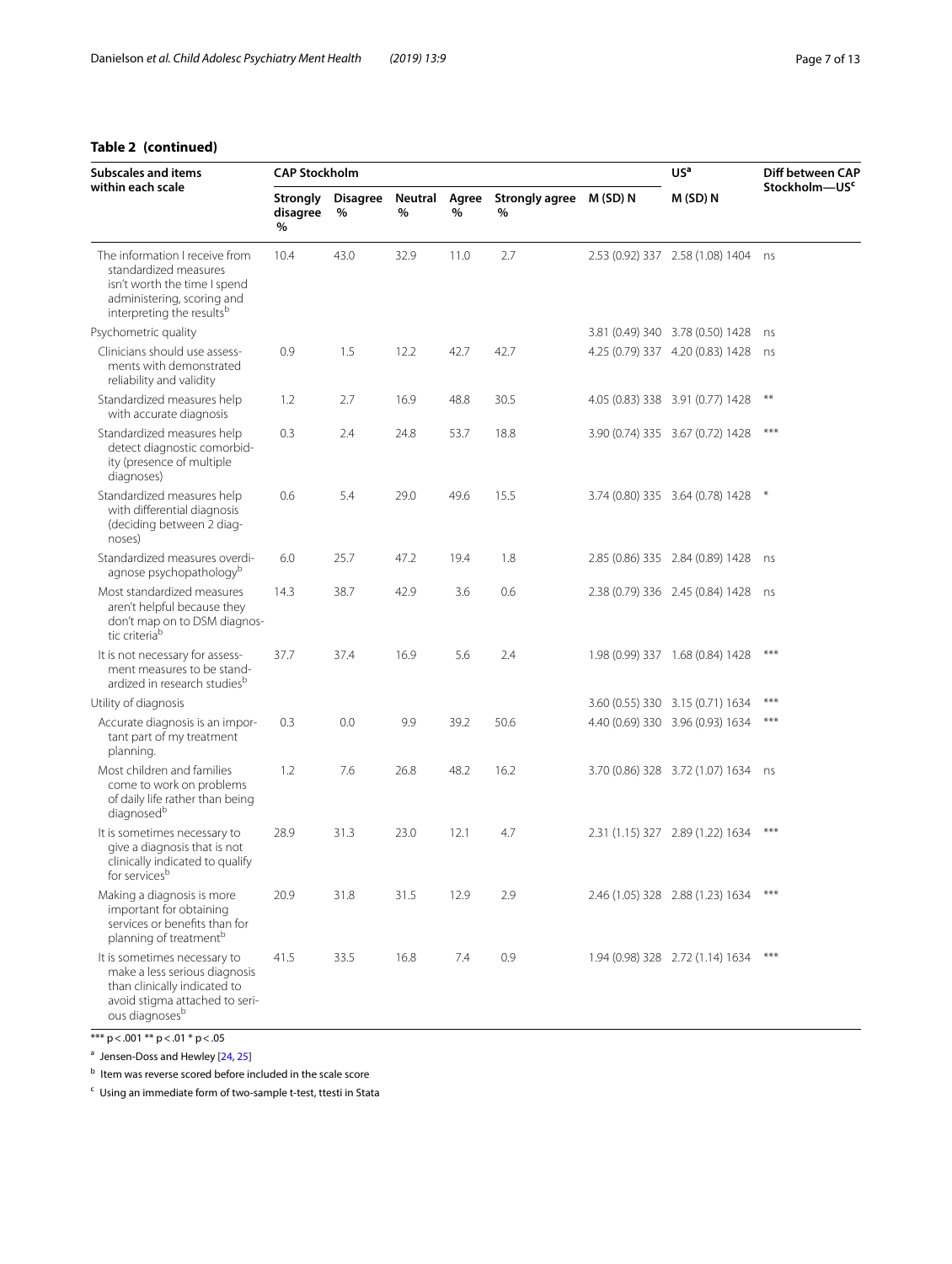#### **Table 2 (continued)**

| <b>Subscales and items</b>                                                                                                                                    | <b>CAP Stockholm</b>      |                      |              |            |                     |          | US <sup>a</sup>                     | Diff between CAP          |
|---------------------------------------------------------------------------------------------------------------------------------------------------------------|---------------------------|----------------------|--------------|------------|---------------------|----------|-------------------------------------|---------------------------|
| within each scale                                                                                                                                             | Strongly<br>disagree<br>% | <b>Disagree</b><br>% | Neutral<br>% | Agree<br>% | Strongly agree<br>% | M (SD) N | M (SD) N                            | Stockholm—US <sup>c</sup> |
| The information I receive from<br>standardized measures<br>isn't worth the time I spend<br>administering, scoring and<br>interpreting the resultsb            | 10.4                      | 43.0                 | 32.9         | 11.0       | 2.7                 |          | 2.53 (0.92) 337 2.58 (1.08) 1404 ns |                           |
| Psychometric quality                                                                                                                                          |                           |                      |              |            |                     |          | 3.81 (0.49) 340 3.78 (0.50) 1428    | ns                        |
| Clinicians should use assess-<br>ments with demonstrated<br>reliability and validity                                                                          | 0.9                       | 1.5                  | 12.2         | 42.7       | 42.7                |          | 4.25 (0.79) 337 4.20 (0.83) 1428    | ns                        |
| Standardized measures help<br>with accurate diagnosis                                                                                                         | 1.2                       | 2.7                  | 16.9         | 48.8       | 30.5                |          | 4.05 (0.83) 338 3.91 (0.77) 1428    | $\ast\ast$                |
| Standardized measures help<br>detect diagnostic comorbid-<br>ity (presence of multiple<br>diagnoses)                                                          | 0.3                       | 2.4                  | 24.8         | 53.7       | 18.8                |          | 3.90 (0.74) 335 3.67 (0.72) 1428    | $***$                     |
| Standardized measures help<br>with differential diagnosis<br>(deciding between 2 diag-<br>noses)                                                              | 0.6                       | 5.4                  | 29.0         | 49.6       | 15.5                |          | 3.74 (0.80) 335 3.64 (0.78) 1428 *  |                           |
| Standardized measures overdi-<br>agnose psychopathology <sup>b</sup>                                                                                          | 6.0                       | 25.7                 | 47.2         | 19.4       | 1.8                 |          | 2.85 (0.86) 335 2.84 (0.89) 1428 ns |                           |
| Most standardized measures<br>aren't helpful because they<br>don't map on to DSM diagnos-<br>tic criteria <sup>b</sup>                                        | 14.3                      | 38.7                 | 42.9         | 3.6        | 0.6                 |          | 2.38 (0.79) 336 2.45 (0.84) 1428 ns |                           |
| It is not necessary for assess-<br>ment measures to be stand-<br>ardized in research studies <sup>b</sup>                                                     | 37.7                      | 37.4                 | 16.9         | 5.6        | 2.4                 |          | 1.98 (0.99) 337 1.68 (0.84) 1428    | $***$                     |
| Utility of diagnosis                                                                                                                                          |                           |                      |              |            |                     |          | 3.60 (0.55) 330 3.15 (0.71) 1634    | $***$                     |
| Accurate diagnosis is an impor-<br>tant part of my treatment<br>planning.                                                                                     | 0.3                       | 0.0                  | 9.9          | 39.2       | 50.6                |          | 4.40 (0.69) 330 3.96 (0.93) 1634    | $***$                     |
| Most children and families<br>come to work on problems<br>of daily life rather than being<br>diagnosed <sup>b</sup>                                           | 1.2                       | 7.6                  | 26.8         | 48.2       | 16.2                |          | 3.70 (0.86) 328 3.72 (1.07) 1634 ns |                           |
| It is sometimes necessary to<br>give a diagnosis that is not<br>clinically indicated to qualify<br>for services <sup>b</sup>                                  | 28.9                      | 31.3                 | 23.0         | 12.1       | 4.7                 |          | 2.31 (1.15) 327 2.89 (1.22) 1634    | $***$                     |
| Making a diagnosis is more<br>important for obtaining<br>services or benefits than for<br>planning of treatment <sup>b</sup>                                  | 20.9                      | 31.8                 | 31.5         | 12.9       | 2.9                 |          | 2.46 (1.05) 328 2.88 (1.23) 1634    | $***$                     |
| It is sometimes necessary to<br>make a less serious diagnosis<br>than clinically indicated to<br>avoid stigma attached to seri-<br>ous diagnoses <sup>b</sup> | 41.5                      | 33.5                 | 16.8         | 7.4        | 0.9                 |          | 1.94 (0.98) 328 2.72 (1.14) 1634    | $***$                     |

\*\*\* p <.001 \*\* p <.01 \* p <.05

<sup>a</sup> Jensen-Doss and Hewley [\[24](#page-11-23), [25\]](#page-11-24)

 $<sup>b</sup>$  Item was reverse scored before included in the scale score</sup>

 $c$  Using an immediate form of two-sample t-test, ttesti in Stata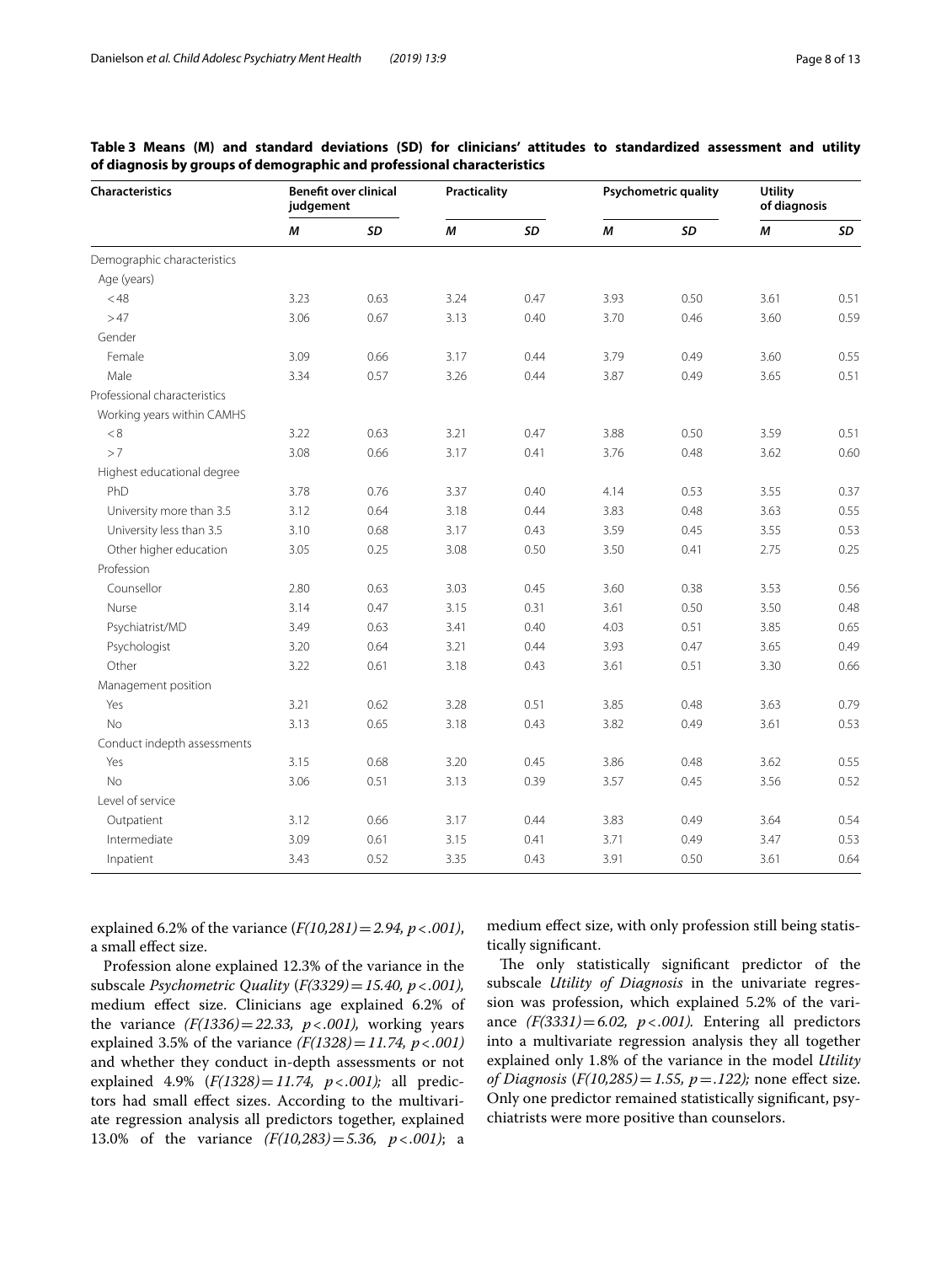| <b>Characteristics</b>       | judgement | <b>Benefit over clinical</b> | Practicality |      |      | <b>Psychometric quality</b> | <b>Utility</b><br>of diagnosis |      |
|------------------------------|-----------|------------------------------|--------------|------|------|-----------------------------|--------------------------------|------|
|                              | M         | SD                           | М            | SD   | М    | SD                          | М                              | SD   |
| Demographic characteristics  |           |                              |              |      |      |                             |                                |      |
| Age (years)                  |           |                              |              |      |      |                             |                                |      |
| $<$ 48                       | 3.23      | 0.63                         | 3.24         | 0.47 | 3.93 | 0.50                        | 3.61                           | 0.51 |
| >47                          | 3.06      | 0.67                         | 3.13         | 0.40 | 3.70 | 0.46                        | 3.60                           | 0.59 |
| Gender                       |           |                              |              |      |      |                             |                                |      |
| Female                       | 3.09      | 0.66                         | 3.17         | 0.44 | 3.79 | 0.49                        | 3.60                           | 0.55 |
| Male                         | 3.34      | 0.57                         | 3.26         | 0.44 | 3.87 | 0.49                        | 3.65                           | 0.51 |
| Professional characteristics |           |                              |              |      |      |                             |                                |      |
| Working years within CAMHS   |           |                              |              |      |      |                             |                                |      |
| < 8                          | 3.22      | 0.63                         | 3.21         | 0.47 | 3.88 | 0.50                        | 3.59                           | 0.51 |
| >7                           | 3.08      | 0.66                         | 3.17         | 0.41 | 3.76 | 0.48                        | 3.62                           | 0.60 |
| Highest educational degree   |           |                              |              |      |      |                             |                                |      |
| PhD                          | 3.78      | 0.76                         | 3.37         | 0.40 | 4.14 | 0.53                        | 3.55                           | 0.37 |
| University more than 3.5     | 3.12      | 0.64                         | 3.18         | 0.44 | 3.83 | 0.48                        | 3.63                           | 0.55 |
| University less than 3.5     | 3.10      | 0.68                         | 3.17         | 0.43 | 3.59 | 0.45                        | 3.55                           | 0.53 |
| Other higher education       | 3.05      | 0.25                         | 3.08         | 0.50 | 3.50 | 0.41                        | 2.75                           | 0.25 |
| Profession                   |           |                              |              |      |      |                             |                                |      |
| Counsellor                   | 2.80      | 0.63                         | 3.03         | 0.45 | 3.60 | 0.38                        | 3.53                           | 0.56 |
| Nurse                        | 3.14      | 0.47                         | 3.15         | 0.31 | 3.61 | 0.50                        | 3.50                           | 0.48 |
| Psychiatrist/MD              | 3.49      | 0.63                         | 3.41         | 0.40 | 4.03 | 0.51                        | 3.85                           | 0.65 |
| Psychologist                 | 3.20      | 0.64                         | 3.21         | 0.44 | 3.93 | 0.47                        | 3.65                           | 0.49 |
| Other                        | 3.22      | 0.61                         | 3.18         | 0.43 | 3.61 | 0.51                        | 3.30                           | 0.66 |
| Management position          |           |                              |              |      |      |                             |                                |      |
| Yes                          | 3.21      | 0.62                         | 3.28         | 0.51 | 3.85 | 0.48                        | 3.63                           | 0.79 |
| <b>No</b>                    | 3.13      | 0.65                         | 3.18         | 0.43 | 3.82 | 0.49                        | 3.61                           | 0.53 |
| Conduct indepth assessments  |           |                              |              |      |      |                             |                                |      |
| Yes                          | 3.15      | 0.68                         | 3.20         | 0.45 | 3.86 | 0.48                        | 3.62                           | 0.55 |
| No                           | 3.06      | 0.51                         | 3.13         | 0.39 | 3.57 | 0.45                        | 3.56                           | 0.52 |
| Level of service             |           |                              |              |      |      |                             |                                |      |
| Outpatient                   | 3.12      | 0.66                         | 3.17         | 0.44 | 3.83 | 0.49                        | 3.64                           | 0.54 |
| Intermediate                 | 3.09      | 0.61                         | 3.15         | 0.41 | 3.71 | 0.49                        | 3.47                           | 0.53 |
| Inpatient                    | 3.43      | 0.52                         | 3.35         | 0.43 | 3.91 | 0.50                        | 3.61                           | 0.64 |

<span id="page-7-0"></span>**Table 3 Means (M) and standard deviations (SD) for clinicians' attitudes to standardized assessment and utility of diagnosis by groups of demographic and professional characteristics**

explained 6.2% of the variance (*F(10,281)*=*2.94, p*<*.001)*, a small efect size.

Profession alone explained 12.3% of the variance in the subscale *Psychometric Quality* (*F(3329)*=*15.40, p*<*.001),* medium efect size. Clinicians age explained 6.2% of the variance *(F(1336)*=*22.33, p*<*.001),* working years explained 3.5% of the variance *(F(1328)*=*11.74, p*<*.001)* and whether they conduct in-depth assessments or not explained 4.9% (*F(1328)*=*11.74, p*<*.001);* all predictors had small efect sizes. According to the multivariate regression analysis all predictors together, explained 13.0% of the variance *(F(10,283)*=*5.36, p*<*.001)*; a medium efect size, with only profession still being statistically signifcant.

The only statistically significant predictor of the subscale *Utility of Diagnosis* in the univariate regression was profession, which explained 5.2% of the variance *(F(3331)*=*6.02, p*<*.001).* Entering all predictors into a multivariate regression analysis they all together explained only 1.8% of the variance in the model *Utility of Diagnosis* (*F(10,285)*=*1.55, p*=*.122);* none efect size. Only one predictor remained statistically signifcant, psychiatrists were more positive than counselors.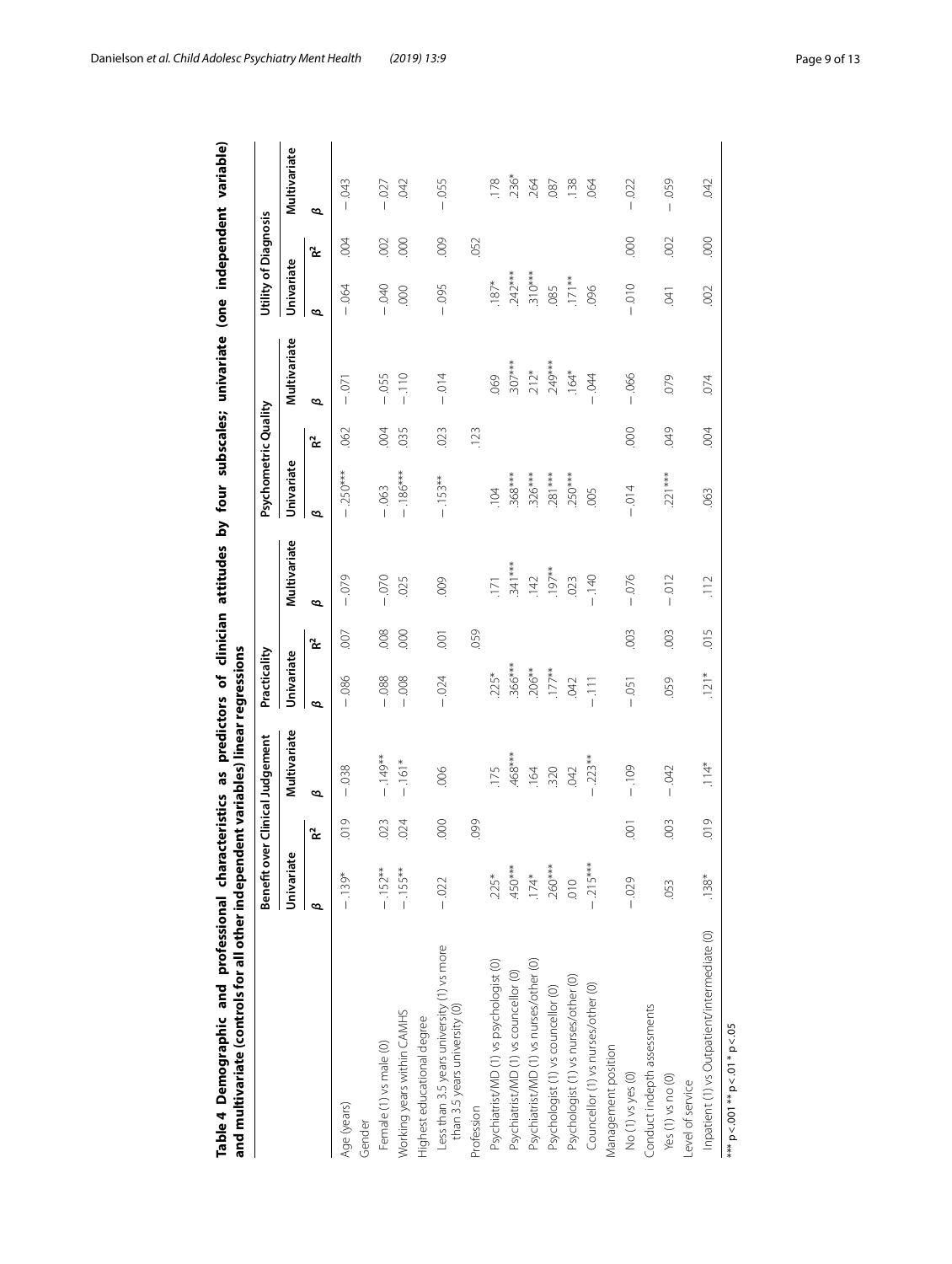| ופויופט +                                                  |      |
|------------------------------------------------------------|------|
|                                                            |      |
| ite (one i                                                 |      |
| -s; univari                                                |      |
| cs as predictors of clinician attitudes by four subscales; |      |
|                                                            |      |
|                                                            |      |
|                                                            |      |
|                                                            |      |
|                                                            |      |
|                                                            |      |
|                                                            |      |
|                                                            |      |
| Ĕ                                                          | rang |
|                                                            |      |
|                                                            |      |
|                                                            |      |
|                                                            |      |
| ă                                                          |      |
|                                                            |      |
|                                                            |      |
| t<br>De                                                    |      |

<span id="page-8-0"></span>

|                                                                             |            |                  | Benefit over Clinical Judgement | Practicality          |                     |                       | Psychometric Quality      |        |              |            | Utility of Diagnosis |                              |
|-----------------------------------------------------------------------------|------------|------------------|---------------------------------|-----------------------|---------------------|-----------------------|---------------------------|--------|--------------|------------|----------------------|------------------------------|
|                                                                             | Univariate |                  | Multivariate                    | Univariate            |                     | Multivariate          | Univariate                |        | Multivariate | Univariate |                      | Multivariate                 |
|                                                                             | ø          | $\mathbf{k}^2$   | ø                               | ø                     | ř                   | ø                     | ø                         | م<br>R | ø            | ø          | ř                    | ø                            |
| Age (years)                                                                 | $-139*$    | 019              | 038<br>$\overline{1}$           | 086<br>$\overline{1}$ | 500                 | 079<br>$\overline{1}$ | .250***<br>$\overline{1}$ | 062    | $-0.071$     | 064        | 004                  | <b>CRO</b><br>$\overline{1}$ |
| Female (1) vs male (0)<br>Gender                                            | $-152**$   | .023             | $-.149**$                       | .088                  | 008                 | .070                  | $-.063$                   | 004    | $-.055$      | <b>OHO</b> | .002                 | .027                         |
| Working years within CAMHS                                                  | $-155**$   | .024             | $-161*$                         | 008<br>$\overline{1}$ | 000                 | .025                  | $-186***$                 | .035   | $-110$       | 8          | 8                    | <b>CRO</b> .                 |
| Highest educational degree                                                  |            |                  |                                 |                       |                     |                       |                           |        |              |            |                      |                              |
| Less than 3.5 years university (1) vs more<br>than 3.5 years university (0) | $-0.022$   | 000.             | 006                             | $-.024$               | $\overline{0}$      | 000                   | $-153**$                  | .023   | 014          | 095        | 800                  | .055                         |
| Profession                                                                  |            | 099              |                                 |                       | .059                |                       |                           | .123   |              |            | .052                 |                              |
| Psychiatrist/MD (1) vs psychologist (0)                                     | $.225*$    |                  | .175                            | $225*$                |                     | 171                   | 104                       |        | 069          | $187*$     |                      | 178                          |
| Psychiatrist/MD (1) vs councellor (0)                                       | .450***    |                  | ****89                          | $.366***$             |                     | $.341***$             | $.368***$                 |        | $307***$     | $.242***$  |                      | $236*$                       |
| Psychiatrist/MD (1) vs nurses/other (0)                                     | $.174*$    |                  | .164                            | $.206**$              |                     | 142                   | $.326***$                 |        | $.212*$      | $.310***$  |                      | .264                         |
| Psychologist (1) vs councellor (0)                                          | $.260***$  |                  | 320                             | $.177**$              |                     | $-4.197**$            | $.281***$                 |        | $.249***$    | .085       |                      | .087                         |
| Psychologist (1) vs nurses/other (0)                                        | 010        |                  | 042                             | <b>CHO</b>            |                     | .023                  | $.250***$                 |        | $.164*$      | $.171**$   |                      | .138                         |
| Councellor (1) vs nurses/other (0)                                          | $-215***$  |                  | $.223**$<br>$\overline{1}$      | $-111$                |                     | $-140$                | 005                       |        | 044          | 096        |                      | .064                         |
| Management position                                                         |            |                  |                                 |                       |                     |                       |                           |        |              |            |                      |                              |
| No (1) vs yes (0)                                                           | $-0.029$   | $\overline{5}$   | $-109$                          | .051                  | .003                | 076                   | 014                       | 000    | $-066$       | 010        | 000                  | .022                         |
| Conduct indepth assessments                                                 |            |                  |                                 |                       |                     |                       |                           |        |              |            |                      |                              |
| Yes $(1)$ vs no $(0)$                                                       | .053       | $\overline{003}$ | 042                             | .059                  | 003                 | 012                   | $.221***$                 | 949    | 079          | $-041$     | .002                 | 059<br>$\overline{1}$        |
| Level of service                                                            |            |                  |                                 |                       |                     |                       |                           |        |              |            |                      |                              |
| Inpatient (1) vs Outpatient/intermediate (0)                                | $.138*$    | 019              | $.114*$                         | $.121*$               | S<br>$\overline{O}$ | 112                   | .063                      | $-004$ | .074         | .002       | 000                  | <b>CRO</b>                   |
| *** $p < 0.01$ ** $p < 01$ * $p < 05$                                       |            |                  |                                 |                       |                     |                       |                           |        |              |            |                      |                              |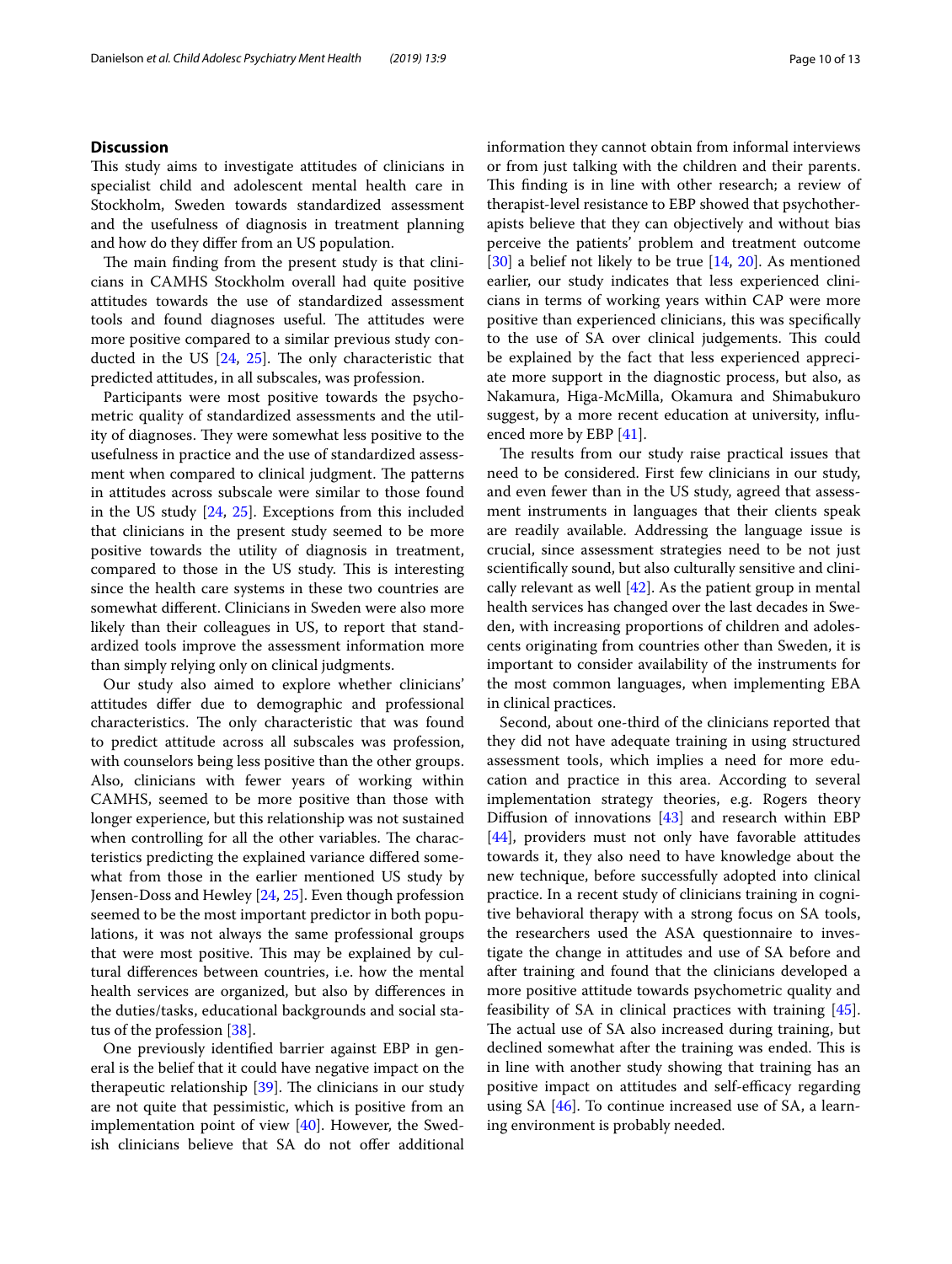#### **Discussion**

This study aims to investigate attitudes of clinicians in specialist child and adolescent mental health care in Stockholm, Sweden towards standardized assessment and the usefulness of diagnosis in treatment planning and how do they difer from an US population.

The main finding from the present study is that clinicians in CAMHS Stockholm overall had quite positive attitudes towards the use of standardized assessment tools and found diagnoses useful. The attitudes were more positive compared to a similar previous study conducted in the US  $[24, 25]$  $[24, 25]$  $[24, 25]$  $[24, 25]$  $[24, 25]$ . The only characteristic that predicted attitudes, in all subscales, was profession.

Participants were most positive towards the psychometric quality of standardized assessments and the utility of diagnoses. They were somewhat less positive to the usefulness in practice and the use of standardized assessment when compared to clinical judgment. The patterns in attitudes across subscale were similar to those found in the US study [[24,](#page-11-23) [25](#page-11-24)]. Exceptions from this included that clinicians in the present study seemed to be more positive towards the utility of diagnosis in treatment, compared to those in the US study. This is interesting since the health care systems in these two countries are somewhat diferent. Clinicians in Sweden were also more likely than their colleagues in US, to report that standardized tools improve the assessment information more than simply relying only on clinical judgments.

Our study also aimed to explore whether clinicians' attitudes difer due to demographic and professional characteristics. The only characteristic that was found to predict attitude across all subscales was profession, with counselors being less positive than the other groups. Also, clinicians with fewer years of working within CAMHS, seemed to be more positive than those with longer experience, but this relationship was not sustained when controlling for all the other variables. The characteristics predicting the explained variance difered somewhat from those in the earlier mentioned US study by Jensen-Doss and Hewley [[24,](#page-11-23) [25](#page-11-24)]. Even though profession seemed to be the most important predictor in both populations, it was not always the same professional groups that were most positive. This may be explained by cultural diferences between countries, i.e. how the mental health services are organized, but also by diferences in the duties/tasks, educational backgrounds and social status of the profession [[38\]](#page-12-10).

One previously identifed barrier against EBP in general is the belief that it could have negative impact on the therapeutic relationship  $[39]$  $[39]$ . The clinicians in our study are not quite that pessimistic, which is positive from an implementation point of view [[40\]](#page-12-12). However, the Swedish clinicians believe that SA do not offer additional information they cannot obtain from informal interviews or from just talking with the children and their parents. This finding is in line with other research; a review of therapist-level resistance to EBP showed that psychotherapists believe that they can objectively and without bias perceive the patients' problem and treatment outcome [[30\]](#page-12-2) a belief not likely to be true [\[14](#page-11-12), [20\]](#page-11-18). As mentioned earlier, our study indicates that less experienced clinicians in terms of working years within CAP were more positive than experienced clinicians, this was specifcally to the use of SA over clinical judgements. This could be explained by the fact that less experienced appreciate more support in the diagnostic process, but also, as Nakamura, Higa-McMilla, Okamura and Shimabukuro suggest, by a more recent education at university, infuenced more by EBP [[41](#page-12-13)].

The results from our study raise practical issues that need to be considered. First few clinicians in our study, and even fewer than in the US study, agreed that assessment instruments in languages that their clients speak are readily available. Addressing the language issue is crucial, since assessment strategies need to be not just scientifcally sound, but also culturally sensitive and clinically relevant as well [[42](#page-12-14)]. As the patient group in mental health services has changed over the last decades in Sweden, with increasing proportions of children and adolescents originating from countries other than Sweden, it is important to consider availability of the instruments for the most common languages, when implementing EBA in clinical practices.

Second, about one-third of the clinicians reported that they did not have adequate training in using structured assessment tools, which implies a need for more education and practice in this area. According to several implementation strategy theories, e.g. Rogers theory Diffusion of innovations [\[43\]](#page-12-15) and research within EBP [[44\]](#page-12-16), providers must not only have favorable attitudes towards it, they also need to have knowledge about the new technique, before successfully adopted into clinical practice. In a recent study of clinicians training in cognitive behavioral therapy with a strong focus on SA tools, the researchers used the ASA questionnaire to investigate the change in attitudes and use of SA before and after training and found that the clinicians developed a more positive attitude towards psychometric quality and feasibility of SA in clinical practices with training [\[45](#page-12-17)]. The actual use of SA also increased during training, but declined somewhat after the training was ended. This is in line with another study showing that training has an positive impact on attitudes and self-efficacy regarding using SA [[46\]](#page-12-18). To continue increased use of SA, a learning environment is probably needed.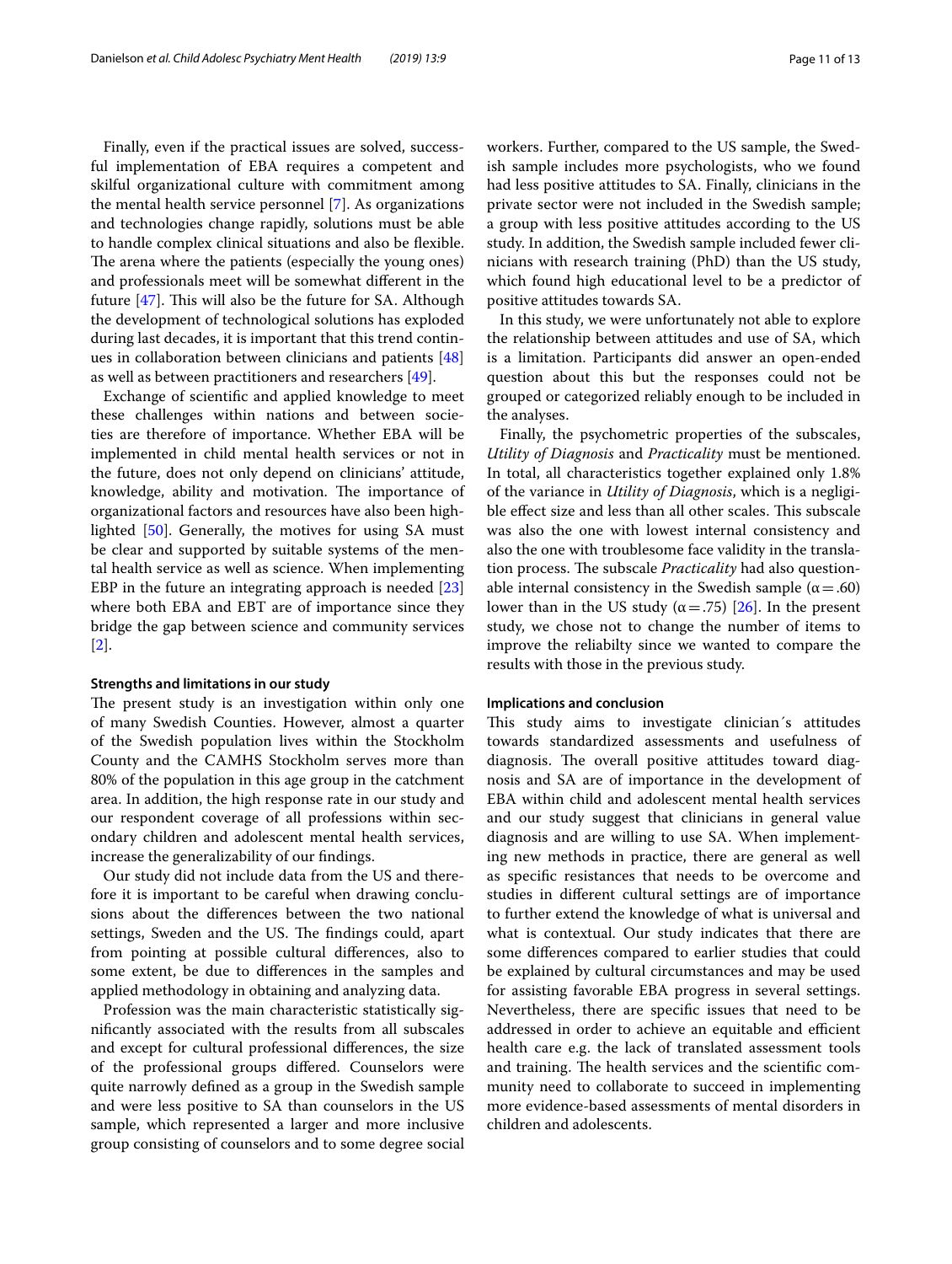Finally, even if the practical issues are solved, successful implementation of EBA requires a competent and skilful organizational culture with commitment among the mental health service personnel [[7\]](#page-11-5). As organizations and technologies change rapidly, solutions must be able to handle complex clinical situations and also be fexible. The arena where the patients (especially the young ones) and professionals meet will be somewhat diferent in the future  $[47]$  $[47]$ . This will also be the future for SA. Although the development of technological solutions has exploded during last decades, it is important that this trend continues in collaboration between clinicians and patients [[48](#page-12-20)] as well as between practitioners and researchers [[49\]](#page-12-21).

Exchange of scientifc and applied knowledge to meet these challenges within nations and between societies are therefore of importance. Whether EBA will be implemented in child mental health services or not in the future, does not only depend on clinicians' attitude, knowledge, ability and motivation. The importance of organizational factors and resources have also been highlighted [\[50](#page-12-22)]. Generally, the motives for using SA must be clear and supported by suitable systems of the mental health service as well as science. When implementing EBP in the future an integrating approach is needed [[23](#page-11-22)] where both EBA and EBT are of importance since they bridge the gap between science and community services [[2\]](#page-11-1).

#### **Strengths and limitations in our study**

The present study is an investigation within only one of many Swedish Counties. However, almost a quarter of the Swedish population lives within the Stockholm County and the CAMHS Stockholm serves more than 80% of the population in this age group in the catchment area. In addition, the high response rate in our study and our respondent coverage of all professions within secondary children and adolescent mental health services, increase the generalizability of our fndings.

Our study did not include data from the US and therefore it is important to be careful when drawing conclusions about the diferences between the two national settings, Sweden and the US. The findings could, apart from pointing at possible cultural diferences, also to some extent, be due to diferences in the samples and applied methodology in obtaining and analyzing data.

Profession was the main characteristic statistically signifcantly associated with the results from all subscales and except for cultural professional diferences, the size of the professional groups difered. Counselors were quite narrowly defned as a group in the Swedish sample and were less positive to SA than counselors in the US sample, which represented a larger and more inclusive group consisting of counselors and to some degree social workers. Further, compared to the US sample, the Swedish sample includes more psychologists, who we found had less positive attitudes to SA. Finally, clinicians in the private sector were not included in the Swedish sample; a group with less positive attitudes according to the US study. In addition, the Swedish sample included fewer clinicians with research training (PhD) than the US study, which found high educational level to be a predictor of positive attitudes towards SA.

In this study, we were unfortunately not able to explore the relationship between attitudes and use of SA, which is a limitation. Participants did answer an open-ended question about this but the responses could not be grouped or categorized reliably enough to be included in the analyses.

Finally, the psychometric properties of the subscales, *Utility of Diagnosis* and *Practicality* must be mentioned. In total, all characteristics together explained only 1.8% of the variance in *Utility of Diagnosis*, which is a negligible effect size and less than all other scales. This subscale was also the one with lowest internal consistency and also the one with troublesome face validity in the translation process. The subscale *Practicality* had also questionable internal consistency in the Swedish sample ( $α = .60$ ) lower than in the US study ( $α = .75$ ) [\[26](#page-11-25)]. In the present study, we chose not to change the number of items to improve the reliabilty since we wanted to compare the results with those in the previous study.

#### **Implications and conclusion**

This study aims to investigate clinician's attitudes towards standardized assessments and usefulness of diagnosis. The overall positive attitudes toward diagnosis and SA are of importance in the development of EBA within child and adolescent mental health services and our study suggest that clinicians in general value diagnosis and are willing to use SA. When implementing new methods in practice, there are general as well as specifc resistances that needs to be overcome and studies in diferent cultural settings are of importance to further extend the knowledge of what is universal and what is contextual. Our study indicates that there are some diferences compared to earlier studies that could be explained by cultural circumstances and may be used for assisting favorable EBA progress in several settings. Nevertheless, there are specifc issues that need to be addressed in order to achieve an equitable and efficient health care e.g. the lack of translated assessment tools and training. The health services and the scientific community need to collaborate to succeed in implementing more evidence-based assessments of mental disorders in children and adolescents.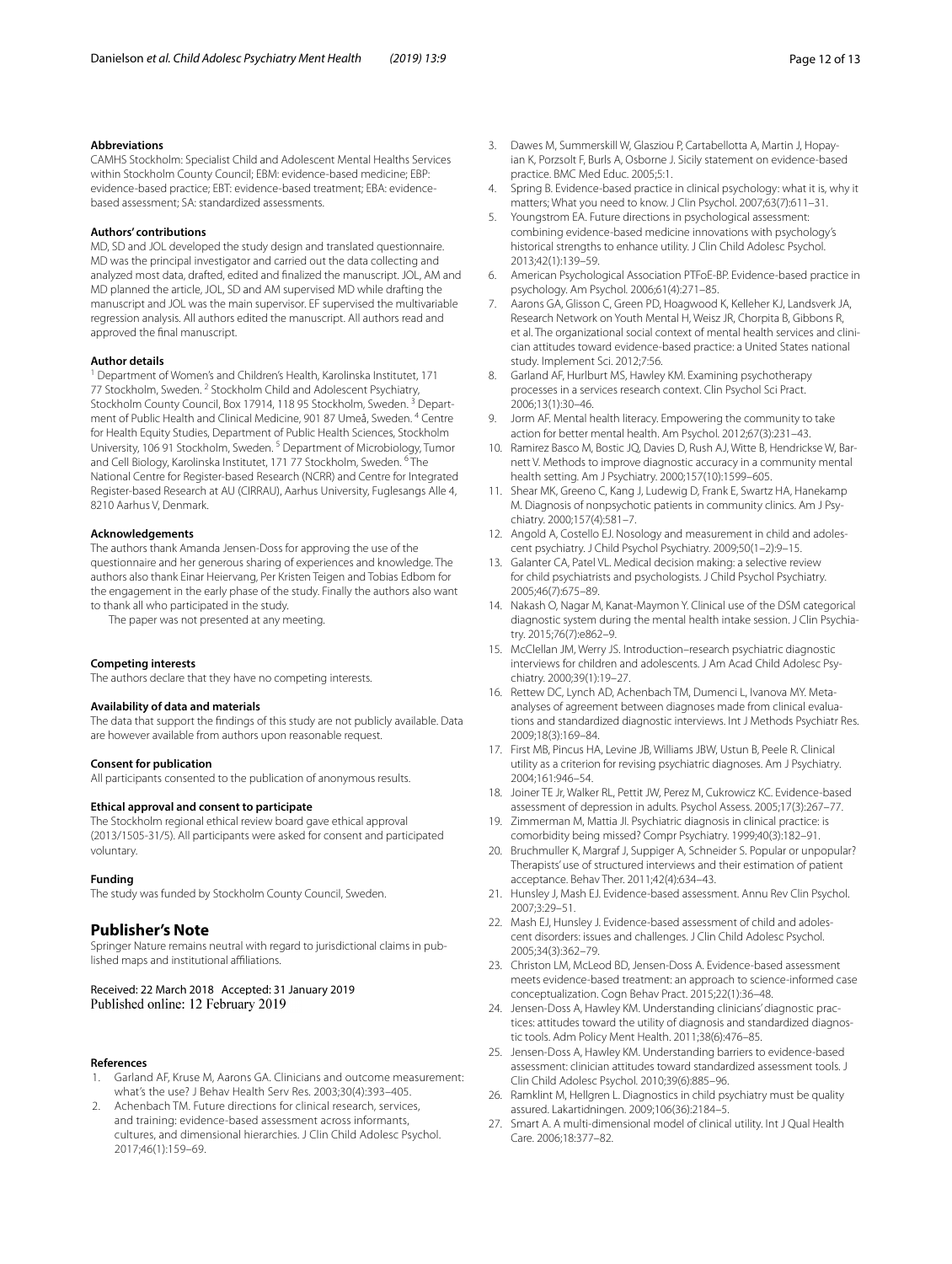#### **Abbreviations**

CAMHS Stockholm: Specialist Child and Adolescent Mental Healths Services within Stockholm County Council; EBM: evidence-based medicine; EBP: evidence-based practice; EBT: evidence-based treatment; EBA: evidencebased assessment; SA: standardized assessments.

#### **Authors' contributions**

MD, SD and JOL developed the study design and translated questionnaire. MD was the principal investigator and carried out the data collecting and analyzed most data, drafted, edited and fnalized the manuscript. JOL, AM and MD planned the article, JOL, SD and AM supervised MD while drafting the manuscript and JOL was the main supervisor. EF supervised the multivariable regression analysis. All authors edited the manuscript. All authors read and approved the fnal manuscript.

#### **Author details**

<sup>1</sup> Department of Women's and Children's Health, Karolinska Institutet, 171 77 Stockholm, Sweden. <sup>2</sup> Stockholm Child and Adolescent Psychiatry, Stockholm County Council, Box 17914, 118 95 Stockholm, Sweden.<sup>3</sup> Department of Public Health and Clinical Medicine, 901 87 Umeå, Sweden. 4 Centre for Health Equity Studies, Department of Public Health Sciences, Stockholm University, 106 91 Stockholm, Sweden. 5 Department of Microbiology, Tumor and Cell Biology, Karolinska Institutet, 171 77 Stockholm, Sweden. <sup>6</sup> The National Centre for Register‑based Research (NCRR) and Centre for Integrated Register-based Research at AU (CIRRAU), Aarhus University, Fuglesangs Alle 4, 8210 Aarhus V, Denmark.

#### **Acknowledgements**

The authors thank Amanda Jensen-Doss for approving the use of the questionnaire and her generous sharing of experiences and knowledge. The authors also thank Einar Heiervang, Per Kristen Teigen and Tobias Edbom for the engagement in the early phase of the study. Finally the authors also want to thank all who participated in the study.

The paper was not presented at any meeting.

#### **Competing interests**

The authors declare that they have no competing interests.

#### **Availability of data and materials**

The data that support the fndings of this study are not publicly available. Data are however available from authors upon reasonable request.

#### **Consent for publication**

All participants consented to the publication of anonymous results.

#### **Ethical approval and consent to participate**

The Stockholm regional ethical review board gave ethical approval (2013/1505-31/5). All participants were asked for consent and participated voluntary.

#### **Funding**

The study was funded by Stockholm County Council, Sweden.

#### **Publisher's Note**

Springer Nature remains neutral with regard to jurisdictional claims in published maps and institutional afliations.

## Received: 22 March 2018 Accepted: 31 January 2019

#### **References**

- <span id="page-11-0"></span>Garland AF, Kruse M, Aarons GA. Clinicians and outcome measurement: what's the use? J Behav Health Serv Res. 2003;30(4):393–405.
- <span id="page-11-1"></span>2. Achenbach TM. Future directions for clinical research, services, and training: evidence-based assessment across informants, cultures, and dimensional hierarchies. J Clin Child Adolesc Psychol. 2017;46(1):159–69.
- <span id="page-11-2"></span>3. Dawes M, Summerskill W, Glasziou P, Cartabellotta A, Martin J, Hopayian K, Porzsolt F, Burls A, Osborne J. Sicily statement on evidence-based practice. BMC Med Educ. 2005;5:1.
- <span id="page-11-3"></span>4. Spring B. Evidence-based practice in clinical psychology: what it is, why it matters; What you need to know. J Clin Psychol. 2007;63(7):611–31.
- <span id="page-11-19"></span>5. Youngstrom EA. Future directions in psychological assessment: combining evidence-based medicine innovations with psychology's historical strengths to enhance utility. J Clin Child Adolesc Psychol. 2013;42(1):139–59.
- <span id="page-11-4"></span>6. American Psychological Association PTFoE-BP. Evidence-based practice in psychology. Am Psychol. 2006;61(4):271–85.
- <span id="page-11-5"></span>7. Aarons GA, Glisson C, Green PD, Hoagwood K, Kelleher KJ, Landsverk JA, Research Network on Youth Mental H, Weisz JR, Chorpita B, Gibbons R, et al. The organizational social context of mental health services and clinician attitudes toward evidence-based practice: a United States national study. Implement Sci. 2012;7:56.
- <span id="page-11-6"></span>8. Garland AF, Hurlburt MS, Hawley KM. Examining psychotherapy processes in a services research context. Clin Psychol Sci Pract. 2006;13(1):30–46.
- <span id="page-11-7"></span>9. Jorm AF. Mental health literacy. Empowering the community to take action for better mental health. Am Psychol. 2012;67(3):231–43.
- <span id="page-11-9"></span>10. Ramirez Basco M, Bostic JQ, Davies D, Rush AJ, Witte B, Hendrickse W, Barnett V. Methods to improve diagnostic accuracy in a community mental health setting. Am J Psychiatry. 2000;157(10):1599–605.
- <span id="page-11-8"></span>11. Shear MK, Greeno C, Kang J, Ludewig D, Frank E, Swartz HA, Hanekamp M. Diagnosis of nonpsychotic patients in community clinics. Am J Psychiatry. 2000;157(4):581–7.
- <span id="page-11-10"></span>12. Angold A, Costello EJ. Nosology and measurement in child and adolescent psychiatry. J Child Psychol Psychiatry. 2009;50(1–2):9–15.
- <span id="page-11-11"></span>13. Galanter CA, Patel VL. Medical decision making: a selective review for child psychiatrists and psychologists. J Child Psychol Psychiatry. 2005;46(7):675–89.
- <span id="page-11-12"></span>14. Nakash O, Nagar M, Kanat-Maymon Y. Clinical use of the DSM categorical diagnostic system during the mental health intake session. J Clin Psychiatry. 2015;76(7):e862–9.
- <span id="page-11-13"></span>15. McClellan JM, Werry JS. Introduction–research psychiatric diagnostic interviews for children and adolescents. J Am Acad Child Adolesc Psychiatry. 2000;39(1):19–27.
- <span id="page-11-14"></span>16. Rettew DC, Lynch AD, Achenbach TM, Dumenci L, Ivanova MY. Metaanalyses of agreement between diagnoses made from clinical evaluations and standardized diagnostic interviews. Int J Methods Psychiatr Res. 2009;18(3):169–84.
- <span id="page-11-15"></span>17. First MB, Pincus HA, Levine JB, Williams JBW, Ustun B, Peele R. Clinical utility as a criterion for revising psychiatric diagnoses. Am J Psychiatry. 2004;161:946–54.
- <span id="page-11-16"></span>18. Joiner TE Jr, Walker RL, Pettit JW, Perez M, Cukrowicz KC. Evidence-based assessment of depression in adults. Psychol Assess. 2005;17(3):267–77.
- <span id="page-11-17"></span>19. Zimmerman M, Mattia JI. Psychiatric diagnosis in clinical practice: is comorbidity being missed? Compr Psychiatry. 1999;40(3):182–91.
- <span id="page-11-18"></span>20. Bruchmuller K, Margraf J, Suppiger A, Schneider S. Popular or unpopular? Therapists' use of structured interviews and their estimation of patient acceptance. Behav Ther. 2011;42(4):634–43.
- <span id="page-11-20"></span>21. Hunsley J, Mash EJ. Evidence-based assessment. Annu Rev Clin Psychol. 2007;3:29–51.
- <span id="page-11-21"></span>22. Mash EJ, Hunsley J. Evidence-based assessment of child and adolescent disorders: issues and challenges. J Clin Child Adolesc Psychol. 2005;34(3):362–79.
- <span id="page-11-22"></span>23. Christon LM, McLeod BD, Jensen-Doss A. Evidence-based assessment meets evidence-based treatment: an approach to science-informed case conceptualization. Cogn Behav Pract. 2015;22(1):36–48.
- <span id="page-11-23"></span>24. Jensen-Doss A, Hawley KM. Understanding clinicians' diagnostic practices: attitudes toward the utility of diagnosis and standardized diagnostic tools. Adm Policy Ment Health. 2011;38(6):476–85.
- <span id="page-11-24"></span>25. Jensen-Doss A, Hawley KM. Understanding barriers to evidence-based assessment: clinician attitudes toward standardized assessment tools. J Clin Child Adolesc Psychol. 2010;39(6):885–96.
- <span id="page-11-25"></span>26. Ramklint M, Hellgren L. Diagnostics in child psychiatry must be quality assured. Lakartidningen. 2009;106(36):2184–5.
- <span id="page-11-26"></span>27. Smart A. A multi-dimensional model of clinical utility. Int J Qual Health Care. 2006;18:377–82.